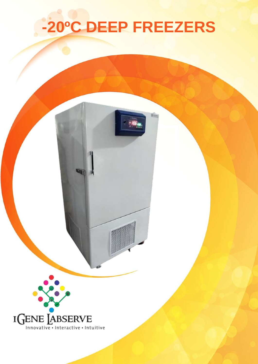# **-20ºC DEEP FREEZERS**

E.



ww.igenels.com | [info@igenels.com |](mailto:info@igenels.com) info@igenels.com | info@igenels.com | +91-11-796130606060606060606060606060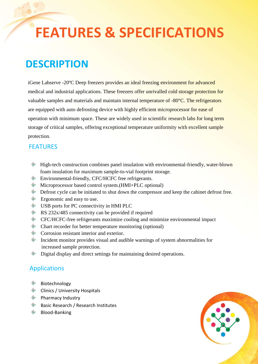## **FEATURES & SPECIFICATIONS**

## **DESCRIPTION**

iGene Labserve -20ºC Deep freezers provides an ideal freezing environment for advanced medical and industrial applications. These freezers offer unrivalled cold storage protection for valuable samples and materials and maintain internal temperature of -80°C. The refrigerators are equipped with auto defrosting device with highly efficient microprocessor for ease of operation with minimum space. These are widely used in scientific research labs for long term storage of critical samples, offering exceptional temperature uniformity with excellent sample protection.

#### **FEATURES**

- $\bullet$  High-tech construction combines panel insulation with environmental-friendly, water-blown foam insulation for maximum sample-to-vial footprint storage.
- Environmental-friendly, CFC/HCFC free refrigerants.
- Microprocessor based control system.(HMI+PLC optional)
- $\bullet$  Defrost cycle can be initiated to shut down the compressor and keep the cabinet defrost free.
- ◈ Ergonomic and easy to use.
- USB ports for PC connectivity in HMI PLC
- $\bullet$  RS 232x/485 connectivity can be provided if required
- CFC/HCFC-free refrigerants maximize cooling and minimize environmental impact
- $\bullet$  Chart recorder for better temperature monitoring (optional)
- Corrosion resistant interior and exterior.
- $\bullet$  Incident monitor provides visual and audible warnings of system abnormalities for increased sample protection.
- ◈ Digital display and direct settings for maintaining desired operations.

#### Applications

- ◈ Biotechnology
- **Clinics / University Hospitals**
- $\hat{\mathcal{P}}$  Pharmacy Industry
- $\bullet$  Basic Research / Research Institutes
- $\hat{\mathcal{P}}$  Blood-Banking